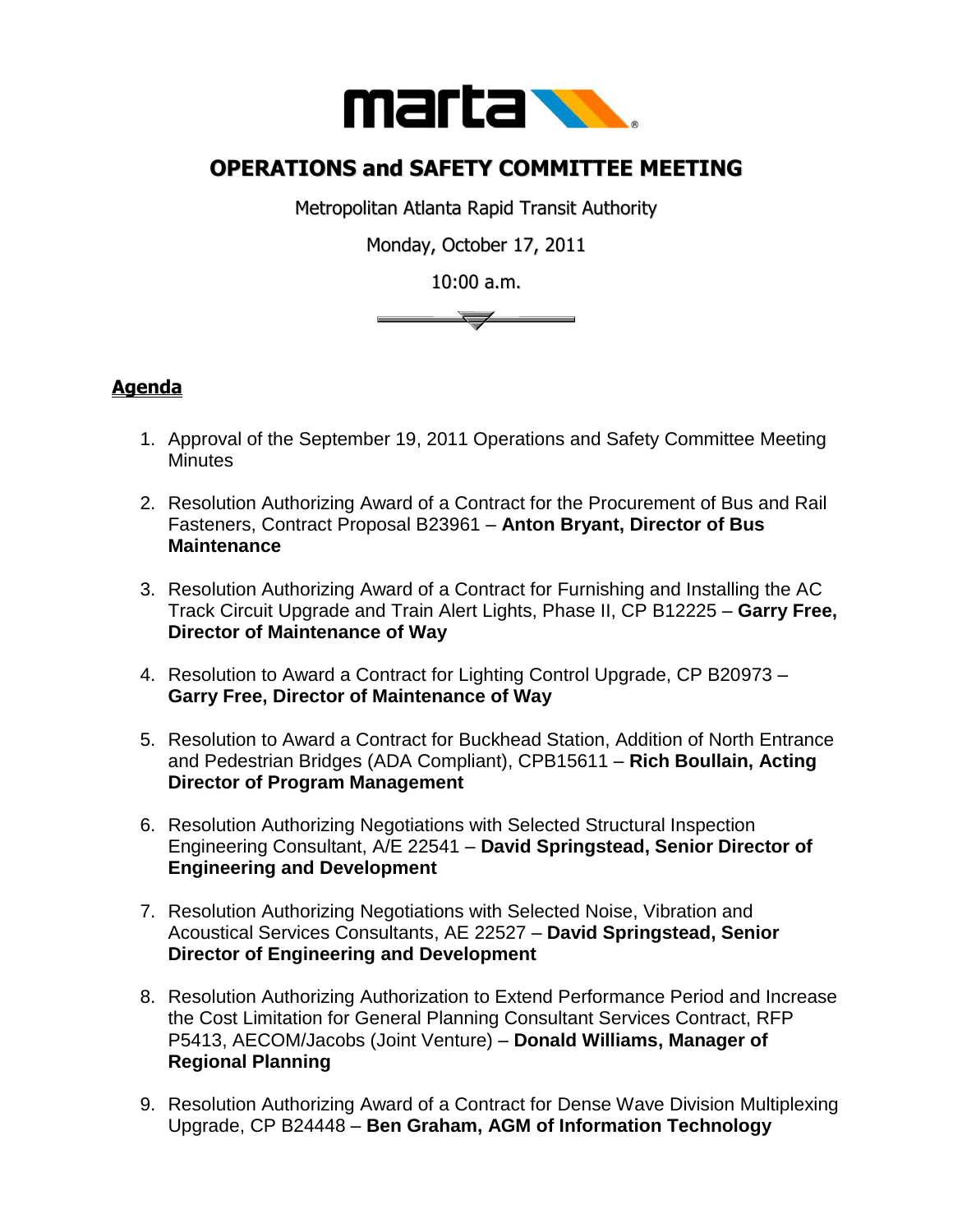

## **OPERATIONS and SAFETY COMMITTEE MEETING**

Metropolitan Atlanta Rapid Transit Authority

Monday, October 17, 2011

10:00 a.m.



## **Agenda**

- 1. Approval of the September 19, 2011 Operations and Safety Committee Meeting **Minutes**
- 2. Resolution Authorizing Award of a Contract for the Procurement of Bus and Rail Fasteners, Contract Proposal B23961 – **Anton Bryant, Director of Bus Maintenance**
- 3. Resolution Authorizing Award of a Contract for Furnishing and Installing the AC Track Circuit Upgrade and Train Alert Lights, Phase II, CP B12225 – **Garry Free, Director of Maintenance of Way**
- 4. Resolution to Award a Contract for Lighting Control Upgrade, CP B20973 **Garry Free, Director of Maintenance of Way**
- 5. Resolution to Award a Contract for Buckhead Station, Addition of North Entrance and Pedestrian Bridges (ADA Compliant), CPB15611 – **Rich Boullain, Acting Director of Program Management**
- 6. Resolution Authorizing Negotiations with Selected Structural Inspection Engineering Consultant, A/E 22541 – **David Springstead, Senior Director of Engineering and Development**
- 7. Resolution Authorizing Negotiations with Selected Noise, Vibration and Acoustical Services Consultants, AE 22527 – **David Springstead, Senior Director of Engineering and Development**
- 8. Resolution Authorizing Authorization to Extend Performance Period and Increase the Cost Limitation for General Planning Consultant Services Contract, RFP P5413, AECOM/Jacobs (Joint Venture) – **Donald Williams, Manager of Regional Planning**
- 9. Resolution Authorizing Award of a Contract for Dense Wave Division Multiplexing Upgrade, CP B24448 – **Ben Graham, AGM of Information Technology**